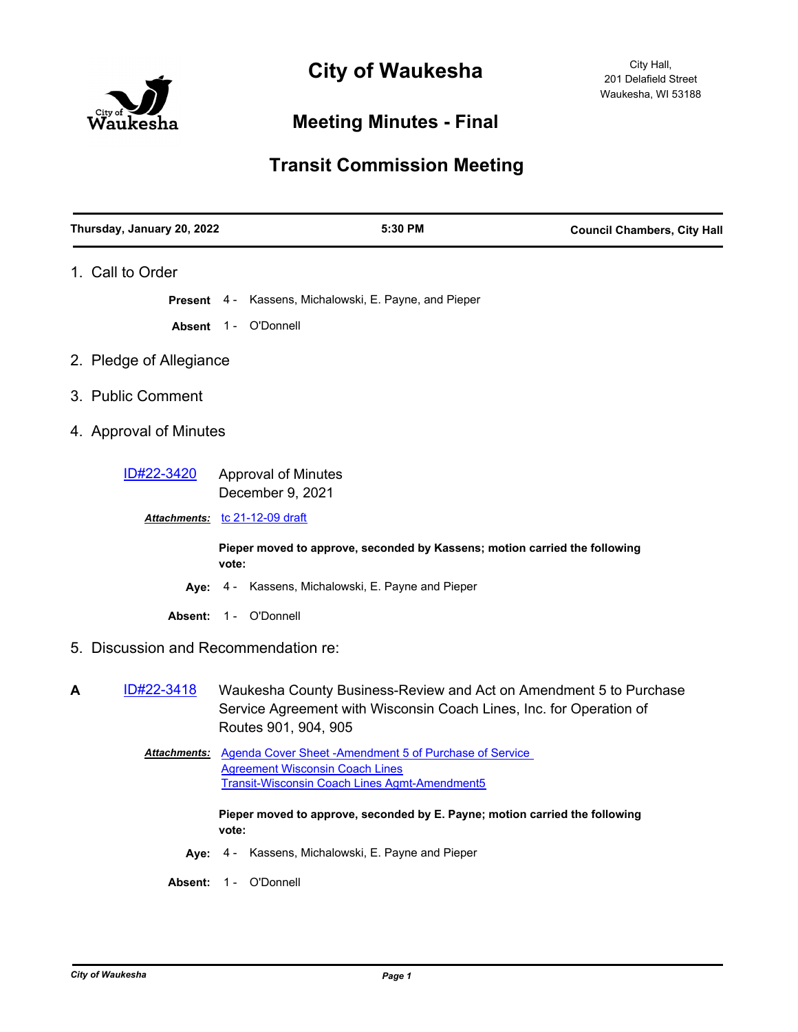

## **Meeting Minutes - Final**

## **Transit Commission Meeting**

| Thursday, January 20, 2022           | 5:30 PM                                                                                                                                                                | <b>Council Chambers, City Hall</b> |
|--------------------------------------|------------------------------------------------------------------------------------------------------------------------------------------------------------------------|------------------------------------|
| 1. Call to Order                     |                                                                                                                                                                        |                                    |
|                                      | Present 4 - Kassens, Michalowski, E. Payne, and Pieper                                                                                                                 |                                    |
|                                      | Absent 1 - O'Donnell                                                                                                                                                   |                                    |
| 2. Pledge of Allegiance              |                                                                                                                                                                        |                                    |
| 3. Public Comment                    |                                                                                                                                                                        |                                    |
| 4. Approval of Minutes               |                                                                                                                                                                        |                                    |
| ID#22-3420                           | <b>Approval of Minutes</b><br>December 9, 2021                                                                                                                         |                                    |
|                                      | Attachments: tc 21-12-09 draft                                                                                                                                         |                                    |
|                                      | Pieper moved to approve, seconded by Kassens; motion carried the following<br>vote:                                                                                    |                                    |
|                                      | Aye: 4 - Kassens, Michalowski, E. Payne and Pieper                                                                                                                     |                                    |
|                                      | Absent: 1 - O'Donnell                                                                                                                                                  |                                    |
| 5. Discussion and Recommendation re: |                                                                                                                                                                        |                                    |
| ID#22-3418<br>A                      | Waukesha County Business-Review and Act on Amendment 5 to Purchase<br>Service Agreement with Wisconsin Coach Lines, Inc. for Operation of<br>Routes 901, 904, 905      |                                    |
|                                      | Attachments: Agenda Cover Sheet - Amendment 5 of Purchase of Service<br><b>Agreement Wisconsin Coach Lines</b><br><b>Transit-Wisconsin Coach Lines Agmt-Amendment5</b> |                                    |
|                                      | Pieper moved to approve, seconded by E. Payne; motion carried the following<br>vote:                                                                                   |                                    |
|                                      | Aye: 4 - Kassens, Michalowski, E. Payne and Pieper                                                                                                                     |                                    |
|                                      | Absent: 1 - O'Donnell                                                                                                                                                  |                                    |